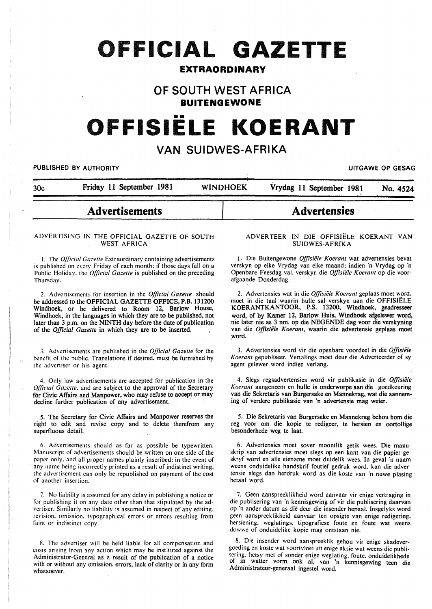## **OFFICIAL GAZETTE**

## **EXTRAORDINARY**

## **OF SOUTH WEST AFRICA BUITENGEWONE**

# **OFFISIELE KOERANT**

## **VAN SUIDWES-AFRIKA**

#### PUBLISHED BY AUTHORITY **EXAGGED AT AUTHORITY UITGAWE OP GESAG**

| 30c | Friday 11 September 1981 | <b>WINDHOEK</b> | Vrydag 11 September 1981<br>No. 4524 |
|-----|--------------------------|-----------------|--------------------------------------|
|     | <b>Advertisements</b>    |                 | <b>Advertensies</b>                  |

#### ADVERTISING IN THE OFFICIAL GAZETTE OF SOUTH WEST AFRICA

I. The *0./]/cial Gazelle* Extraordinary containing advertisements is published on every Friday of each month: if those days fall on a Public Holiday. the *Official Gazette* is published on the preceding. Thursday.

2. Advertisements for insertion in the *Official Gazette* should be addressed to the OFFICIAL GAZETTE OFFICE, P.B. 131200 Windhoek, or be delivered to Room 12, Barlow House, Windhoek, in the languages in which they are to be published, not later than 3 p.m. on the NINTH day before the date of publicatiqn of the *Official Gazette* in which they are to be inserted.

J. Advertisements arc published in the *Official Gazette* for the benefit of the public. Translations if desired. must be furnished by the advertiser or his agent.

4. Only law advertisements are accepted for publication in the *Qfficial Gazette*, and are subject to the approval of the Secretary for Civic Affairs and Manpower, who may refuse to accept or may decline further publication of any advertisement.

5. The Secretary for Civic Affairs and Manpower reserves the right to edit and revise copy and to delete therefrom any superfluous detail.

6. Advertisements should as far as possible be typewritten. Manuscript of advertisements should be written on one side of the paper only. and all proper names plainly inscribed: in the event of any name being incorrectly printed as a result of indistinct writing. the advertisement can only be republished on payment of the cost of another insertion.

7. No liability is assumed for any delay in publishing a notice or for publishing it on any date other than that stipulated by the advertiser. Similarly no liability is assumed in respect of any editing. revision. omission. typographical errors or errors resulting from faint or indistinct copy.

8. The advertiser will be held liable for all compensation and costs arising from any action which may be instituted against the Administrator-General as a result of the publication· of a notice with or without any omission, errors, lack of clarity or in any form whatsoever.

#### ADVERTEER IN DIE OFFISIELE KOERANT VAN SUIDWES-AFRIKA

1. Die Buitengewone *Offisiiile Koerant* wat advertensies bevat verskyn op elke Vrydag van elke maand: indien "n Vrydag op 'n Openbare Feesdag val. verskyn die *Offisiële Koerant* op die voorafgaande Donderdag.

2. Advertensies wat in die Offisiële Koerant geplaas moet word. moet in die taal waarin bulle sal verskyn aan die OFFISIELE KOERANTKANTOOR, P.S. 13200, Windhoek, seadresseer word, of by Kamer 12, Barlow Huis, Windhoek afgelewer word, nie later nie as 3 nm. op die NEGENDE dag voor die verskyning van die *Offisiele Koerant,* waarin die advertensie geplaas moet word.

3. Advertensies word vir die openbare voordeel in die *Offisiiile*  Koerant gepubliseer. Vertalings moet deut die Adverteerder of sy agent gelewer word indien verlang.

4. Slegs regsadvertensies word vir publikasie in die *Offisiiile Koerant* aangeneem en hulle is onderworpe aan die goedkeuring van die Sekretaris van Burgersake en Mannekrag, wat die aanneming of verdere publikasie van 'n advertensie mag weier.

5. Die Sekretaris van Burgersake en Mannekrag behou hom die reg voor om die kopie te redigeer, te hersien en oortollige besonderhede weg te laat.

6. Advertensies moet sover moontlik getik wees. Die manuskrip van advertensies moet slegs op een kant van die papier geskryf word en aile eiename moet duidelik wees. In geval 'n naam weens onduidelike handskrif foutief gedruk word. kan die advertensie slegs dan herdruk word as die koste van 'n nuwe plasing betaal word.

7. Geen aanspreeklikheid word aanvaar vir enige vertraging in die publisering van 'n kennisgewing of vir die publisering daarvan op ·n ander datum as die deur die insender bepaal. Insgelyks word geen aanspreeklikheid aanvaar ten opsigte van enige redigering. hersiening. weglatings. tipografiese foute en foute wat weens dowwe of onduidelike kopie mag ontstaan nie.

8. Die insender word aanspreeklik gehou vir enige skadevergoeding en koste wat voortvloei uit enige aksie wat weens die publisering. hetsy met of sonder enige weglating. foute. onduidelikhede of in watter vorm ook al, van 'n kennisgewing teen die Administrateur-generaal ingestel word.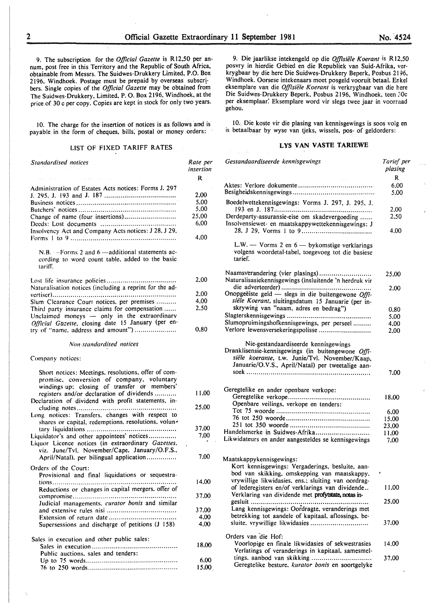9. The subscription for the *Official Gazette* is R 12,50 per annum, post free in this Territory and the Republic of South Africa, obtainable from Messrs. The Suidwes-Drukkery Limited, P.O. Box 2196, Windhoek. Postage must be prepaid by overseas subscribers. Single copies of the *Official Gazette* may be obtained from The Suidwes-Drukkery, Limited, P. 0. Box 2196, Windhoek, at the price of 30 c per copy. Copies are kept in stock for only two years.

10. The charge for the insertion of notices is as follows and is payable in the form of cheques, bills, postal or money orders:

#### LIST OF FIXED TARIFF RATES

| Standardised notices                                                                                                                                                                          | Rate per<br>insertion |  |
|-----------------------------------------------------------------------------------------------------------------------------------------------------------------------------------------------|-----------------------|--|
|                                                                                                                                                                                               | -R.                   |  |
| Administration of Estates Acts notices: Forms J. 297                                                                                                                                          |                       |  |
|                                                                                                                                                                                               | 2,00                  |  |
|                                                                                                                                                                                               | 5,00                  |  |
|                                                                                                                                                                                               | 5,00                  |  |
| Change of name (four insertions)                                                                                                                                                              | 25,00                 |  |
| Insolvency Act and Company Acts notices: J 28, J 29,                                                                                                                                          | 6.00                  |  |
|                                                                                                                                                                                               | 4,00                  |  |
| N.B. -- Forms 2 and 6 -additional statements ac-<br>cording to word count table, added to the basic<br>tariff.                                                                                |                       |  |
|                                                                                                                                                                                               | 2,00                  |  |
| Naturalisation notices (including a reprint for the ad-                                                                                                                                       |                       |  |
|                                                                                                                                                                                               | 2,00                  |  |
| Slum Clearance Court notices, per premises                                                                                                                                                    | 4.00                  |  |
| Third party insurance claims for compensation<br>Unclaimed moneys - only in the extraordinary<br>Official Gazette, closing date 15 January (per en-                                           | 2.50                  |  |
| try of "name, address and amount")                                                                                                                                                            | 0,80                  |  |
| Non-standardised notices                                                                                                                                                                      |                       |  |
| Company notices:                                                                                                                                                                              |                       |  |
| Short notices: Meetings, resolutions, offer of com-<br>promise, conversion of company, voluntary<br>windings up: closing of transfer or members'<br>registers and/or declaration of dividends | 11.00                 |  |
| Declaration of dividend with profit statements, in-                                                                                                                                           |                       |  |
| Long notices: Transfers, changes with respect to<br>shares or capital, redemptions, resolutions, volun-                                                                                       | 25,00                 |  |
|                                                                                                                                                                                               | 37.00                 |  |
| Liquidator's and other appointees' notices<br>Liquor Licence notices (in extraordinary Gazettes,<br>viz. June/Tvl. November/Cape. January/O.F.S                                               | 7,00                  |  |
| April/Natal), per bilingual application                                                                                                                                                       | 7.00                  |  |
| Orders of the Court:<br>Provisional and final liquidations or sequestra-                                                                                                                      |                       |  |
| Reductions or changes in capital mergers, offer of                                                                                                                                            | 14,00                 |  |
| Judicial managements. curator bonis and similar                                                                                                                                               | 37,00                 |  |
|                                                                                                                                                                                               | 37,00                 |  |
|                                                                                                                                                                                               | 4,00                  |  |
| Supersessions and discharge of petitions (J 158)                                                                                                                                              | 4,00                  |  |
| Sales in execution and other public sales:                                                                                                                                                    | 18.00                 |  |
| Public auctions, sales and tenders:                                                                                                                                                           |                       |  |
|                                                                                                                                                                                               | 6,00                  |  |
|                                                                                                                                                                                               | 15.00                 |  |

9. Die jaarlikse intekengeld op die *Offlsiele Koerant* is R12,50 posvry in hierdie Gebied en die Republiek van Suid-Afrika, verkrygbaar by die here Die Suidwes-Drukkery Beperk, Posbus 2196, Windhoek. Oorsese intekenaars moet posgeld vooruit betaal. Enkel eksemplare van die *Offisiele Koerant* is verkrygbaar van die here Die Suidwes-Drukkery Beperk, Posbus 2196, Windhoek, teen 30c per eksemplaar. Eksemplare word vir slegs twee jaar in voorraad gehou.

10. Die koste vir die plasing van kennisgewings is soos volg en is betaalbaar by wyse van tjeks, wissels, pos- of geldorders:

### LYS VAN VASTE TARIEWE

| Gestandaardiseerde kennisgewings                                                                                                                                                    | Tarief per<br>plasing |
|-------------------------------------------------------------------------------------------------------------------------------------------------------------------------------------|-----------------------|
|                                                                                                                                                                                     | R.                    |
|                                                                                                                                                                                     | 6.00                  |
|                                                                                                                                                                                     | 5,00                  |
| Boedelwettekennisgewings: Vorms J. 297, J. 295, J.                                                                                                                                  | 2,00                  |
| Derdeparty-assuransie-eise om skadevergoeding                                                                                                                                       | 2.50                  |
| Insolvensiewet- en maatskappywettekennisgewings: J                                                                                                                                  |                       |
|                                                                                                                                                                                     | 4.00                  |
| L.W. $-$ Vorms 2 en $6$ $-$ by komstige verklarings<br>volgens woordetal-tabel, toegevoeg tot die basiese<br>tarief.                                                                |                       |
| Naamsverandering (vier plasings)                                                                                                                                                    | 25,00                 |
| Naturalisasiekennisgewings (insluitende 'n herdruk vir                                                                                                                              |                       |
|                                                                                                                                                                                     | 2,00                  |
| Onopgeëiste geld — slegs in die buitengewone $Offi$ -                                                                                                                               |                       |
| siële Koerant, sluitingsdatum 15 Januarie (per in-                                                                                                                                  |                       |
| skrywing van "naam, adres en bedrag")                                                                                                                                               | 0.80                  |
|                                                                                                                                                                                     | 5,00                  |
| Slumopruimingshofkennisgewings, per perseel                                                                                                                                         | 4,00                  |
| Verlore lewensversekeringspolisse                                                                                                                                                   | 2,00                  |
| Dranklisensie-kennisgewings (in buitengewone Offi-<br>siële koerante, t.w. Junie/Tvl. November/Kaap,<br>Januarie/O.V.S., April/Natal) per tweetalige aan-                           | 7.00                  |
|                                                                                                                                                                                     |                       |
| Geregtelike en ander openbare verkope:                                                                                                                                              |                       |
|                                                                                                                                                                                     | 18.00                 |
| Openbare veilings, verkope en tenders:                                                                                                                                              |                       |
|                                                                                                                                                                                     | 6,00                  |
|                                                                                                                                                                                     | 15,00                 |
|                                                                                                                                                                                     | 23,00                 |
| Handelsmerke in Suidwes-Afrika                                                                                                                                                      | 11,00                 |
| Likwidateurs en ander aangesteldes se kennisgewings                                                                                                                                 | 7,00                  |
| Maatskappykennisgewings:<br>Kort kennisgewings: Vergaderings, besluite, aan-<br>bod van skikking, omskepping van maatskappy,<br>vrywillige likwidasies, ens.; sluiting van oordrag- |                       |
| of lederegisters en/of verklarings van dividende<br>Verklaring van dividende met profytstate, notas in-                                                                             | 11,00                 |
| gesluit<br>.<br>Lang kennisgewings: Oordragte, veranderings met<br>betrekking tot aandele of kapitaal, aflossings, be-                                                              | 25.00                 |
| sluite. vrywillige likwidasies                                                                                                                                                      | 37.00                 |
| Orders van die Hof:                                                                                                                                                                 |                       |
| Voorlopige en finale likwidasies of sekwestrasies<br>Verlatings of veranderings in kapitaal, samesmel-                                                                              | 14.00                 |
| Geregtelike besture. kurator bonis en soortgelyke                                                                                                                                   | 37.00                 |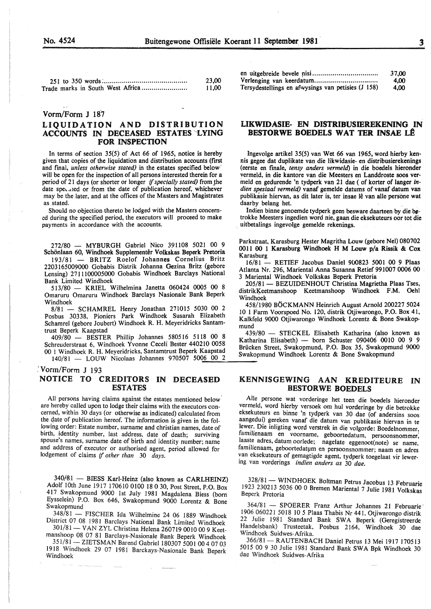|                                  | 23,00 |
|----------------------------------|-------|
| Trade marks in South West Africa | 11.00 |

#### Vorm/Form J 187

#### LIQUIDATION AND DISTRIBUTION ACCOUNTS IN DECEASED ESTATES LYING FOR INSPECTION

In terms of section 35(5) of Act 66 of 1965, notice is hereby given that copies of the liquidation and distribution accounts (first and final, *unless otherwise stated)* in the estates specified below<sup>2</sup> will be open for the inspection of all persons interested therein for a period of 21 days (or shorter or longer if *specially stated)* from the date speculed or from the date of publication hereof, whichever may be the later, and at the offices of the Masters and Magistrates as stated.

Should no objection thereto be lodged with the Masters concerned during the specified period, the executors will proceed to make payments in accordance with the accounts.

Schönlaan 60, Windhoek Supplementer Volkskas Beperk Pretoria  $\frac{0011}{K}$  Windhoek H M Louw prince Generalize Brita 193/81 - BRITZ Roelof Johannes Cornelius Britz Karasburg

Lensing) 2711100005000 Gobabis Windhoek Barclays National Lensing) 2711100005000 Gobabis Windhoek Barclays National<br>Bank Limited Windhoek<br>E12/90 KBIEL Wilhelmine Janetta 060424 0005 00 8<br>E2UIDENHOUT Christina Magrietha Plaas Tses,

Omaruru Omaruru Windhoek Barclays Nasionale Bank Beperk Windhoek Windhoek Windhoek **Windhoek** Windhoek **Windhoek** 

Posbus 30338, Pioniers Park Windhoek Susarah Elizabeth 10 1 Farm Voorspoed No. 120, distrik Otjiwarongo, P.O. Box 41 Posbus 30338, Pioniers Park Windhoek Susaran Enzabellah Kalkfeld 9000 Otjiwarongo Windhoek Lorentz & Bone Swakop-<br>Schamrel (gebore Joubert) Windhoek R. H. Meyeridricks Santam-

Schreuderstraat 6, Windhoek Yvonne Ceceli Bester 440210 0058 Natural Elisabeth) - born Schuster 090406 0010 00 9 9 00 1 Windhoek R. H. Meyeridricks, Santamtrust Beperk Kaapstad Brucken Street, 5wakopmund, P.O. Box 35, Swakopmund<br>1000 1 November 20000 1 Northern Jacobson 10000 1 2 Swakopmund Windhoek Lorentz & Bone Swakopmund 140/81 - LOUW Nicolaas Johannes 970507 5006 00 2

:vorm/Form J 193

#### NOTICE TO CREDITORS IN DECEASED ESTATES

All persons having claims against the estates mentioned below' are hereby called upon to lodge their claims with the executors concerned, within 30 days (or otherwise as indicated) calculated from the date of publication hereof. The information is given in the following order: Estate number, surname and christian names, date of birth, identity number, last address, date of death; surviving spouse's names, surname date of birth and identity number; name and address of executor or authorised agent, period allowed for lodgement of claims if other than 30 days.

340/81 - BIESS Karl-Heinz (also known as CARLHEINZ) Adolf lOth June 1917 170610 0100 18 0 30, Post Street, P.O. Box 417 Swakopmund 9000 1st July 1981 Magdalena Biess (born Eysselein) P.O. Box 646, Swakopmund 9000 Lorentz & Bone Swakopmund

348/81 - FISCHER Ida Wilhelmine 24 06 1889 Windhoek District 07 08 1981 Barclays National Bank Limited Windhoek

301/81 - VAN ZYL Christina Helena 260719 0010 00 9 Keetmanshoop 08 07 81 Barclays-Nasionale Bank Beperk Windhoek

351/81 - ZIETSMAN Barend Gabriel 180307 5001 00 4 07 03 1918 Windhoek 29 07 1981 Barckays-Nasionale Bank Beperk Windhoek

|                                                    | 37.00 |
|----------------------------------------------------|-------|
|                                                    | 4.00  |
| Tersydestellings en afwysings van petisies (J 158) | 4.00  |

#### LIKWIDASIE- EN DISTRIBUSIEREKENING IN BESTORWE BOEDELS WAT TER INSAE LÊ

Ingevolge artikel 35(5) van Wet 66 van 1965, word hierby kennis gegee dat duplikate van die likwidasie- en distribusierekenings (eerste en fmale, *tensy anders vermeld)* in die boedels hieronder vermeld, in die kantore van die Meesters en Landdroste soos vermeld en gedurende 'n tydperk van 21 dae (of korter of Ianger *indien spesiaal vermeld)* vanaf gemelde datums of vanaf datum van publikasie hiervan, as dit later is, ter insae lê van alle persone wat daarby belang het.

Indien binne genoemde tydperk geen besware daarteen by die betrokke Meesters ingedien word nie, gaan die eksekuteurs oor tot die uitbetalings ingevolge gemelde rekenings.

272/80 - MYBURGH Gabriel Nico 391108 5021 00 9 Parkstraat, Karasburg Hester Magritha Louw (gebore Nel) 080702<br>https://www.farabashippedia/stranger/2011/2012/https://www.farabashippedia/2011/00 1 Karasburg Windhoek H M Louw

2203165009000 Gobabis Distrik Johannes Corneilus Britz<br>2203165009000 Gobabis Distrik Johanna Gezina Britz (gebore 16/81 - RETIEF Jacobus Daniel 900823 5001 00 9 Plaas<br>2203165009000 Gobabis Windhook Baralays National Atlant

 $513/80$  - KRIEL Wilhelmina Janetta 060424 0005 00 8  $\frac{293}{81}$  BEZUIDENHOUT Christina Magrietha Plaas Tses,<br>distrikKeetmanshoop Keetmanshoop Windhoek F.M. Oehl

 $\frac{3.81}{8/81}$  SCHAMREL Henry Jonathan 271015 5030 00 2 458/1980 BOCKMANN Heinrich August Arnold 200227 5024

trust Beperk Kaapstad<br>1998 – STECKEL Elisabeth Katharina (also known as  $409/80$  - BESTER Phillip Johannes 580516 5118 00 8  $439/80$  - STECKEL Elisabeth Katharina (also known as

#### KENNISGEWING AAN KREDITEURE IN BESTORWE BOEDELS

Aile persone wat vorderinge het teen die boedels hieronder vermeld, word hierby versoek om hul vorderinge by die betrokke eksekuteurs en binne 'n tydperk van 30 dae (of andersins soos aangedui) gereken vanaf die datum van publikasie hiervan in te !ewer. Die inligting word verstrek in die volgorde: Boedelnommer, familienaam en voorname, geboortedatum, persoonsnommer; laaste adres, datum oorlede; nagelate eggenoot(note) se name, familienaam, geboortedatum en persoonsnommer; naam en adres van eksekuteurs of gemagtigde agent, tydperk toegelaat vir lewering van vorderings *indien anders as* 30 *dae.* 

328/81 - WINDHOEK Boltman Petrus Jacobus 13 Februarie 1923 230213 5036 00 0 Bremen Mariental 7 Julie 1981 Volkskas Beperk Pretoria

364/81 - SPOERER Franz Arthur Johannes 21 Februarie · 1906 060221 5018 10 *5* Plaas Thabis Nr 441, Otjiwarongo distrik 22 Julie 1981 Standard Bank SWA Beperk (Geregistreerde Handelsbank) Trusteetak, Posbus 2164, Windhoek 30 dae Windhoek Suidwes-Afrika.

366/81 - RAUTENBACH Daniel Petrus 13 Mei 1917 170513 5015 00 9 30 Julie 1981 Standard Bank SW A Bpk Windhoek 30 dae Windhoek Suidwes-Afrika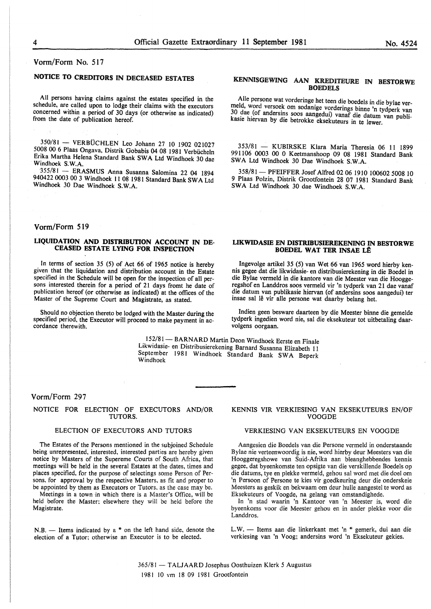#### Vorm/Form No. 517

## NOTICE TO CREDITORS IN DECEASED ESTATES

All persons having claims against the estates specified in the schedule, are called upon to lodge their claims with the executors concerned within a period of 30 days (or otherwise as indicated) from the date of publication hereof.

350/81 - VERBÜCHLEN Leo Johann 27 10 1902 021027 5008 00 6 Plaas Ongava, Distrik Gobabis 04 08 1981 Verbiicheln Erika Martha Helena Standard Bank SW A Ltd Windhoek 30 dae Windhoek S.W.A.

'355/81 - ERASMUS Anna Susanna Salomina 22 04 1894 940422 0003 00 3 Windhoek 11 08 1981 Standard Bank SW A Ltd Windhoek 30 Dae Windhoek S.W.A.

#### Vorm/Form 519

#### LIQUIDATION AND DISTRIBUTION ACCOUNT IN DE-CEASED ESTATE LYING FOR INSPECTION

In terms of section 35 (5) of Act 66 of 1965 notice is hereby given that the liquidation and distribution account in the Estate specified in the Schedule will be open for the inspection of all persons interested therein for a period of 21 days fromt he date of publication hereof (or otherwise as indicated) at the offices of the Master of the Supreme Court and Magistrate, as stated.

Should no objection thereto be lodged with the Master during the specified period. the Executor will proceed to make payment in ac- cordance therewith.

#### KENMSGEWING AAN KREDITEURE IN BESTORWE **BOEDELS**

Aile persone wat vorderinge het teen die boedels in die bylae vermeld, word versoek om sodanige vorderings binne 'n tydperk van 30 dae (of andersins soos aangedui) vanaf die datum van publikasie hiervan by die betrokke eksekuteurs in te lewer.

353/81 - KUBIRSKE Klara Maria Theresia 06 11 1899 991106 0003 00 0 Keetmanshoop 09 08 1981 Standard Bank SWA Ltd Windhoek 30 Dae Windhoek S.W.A.

358/81 - PFEIFFER Josef Alfred 02 06 1910 100602 5008 10 9 Plaas Polzin, Distrik Grootfontein 28 07 1981 Standard Bank SWA Ltd Windhoek 30 dae Windhoek S.W.A.

#### LIKWIDASIE EN DISTRIBUSIEREKENING IN BESTORWE BOEDEL WAT TER INSAE LE

lngevolge artikel 35 (5) van Wet 66 van 1965 word hierby kennis gegee dat die likwidasie- en distribusierekening in die Boedel in die Bylae vermeld in die kantore van die Meester van die Hooggeregshof en Landdros soos vermeld vir 'n tydperk van 21 dae vanaf die datum van publikasie hiervan (of andersins soos aangedui) ter insae sal lê vir alle persone wat daarby belang het.

lndien geen besware daarteen by die Meester binne die gemelde tydperk ingedien word nie, sal die eksekuteur tot uitbetaling daarvolgens oorgaan.

152/81- BARNARD Martin Deon Windhoek Eerste en Finale Likwidasie- en Distribusierekening Barnard Susanna Elizabeth 11 September 1981 Windhoek Standard Bank SWA Beperk<br>Windhoek

#### Vorm/Form 297

#### NOTICE FOR ELECTION OF EXECUTORS AND/OR TUTORS.

#### ELECTION OF EXECUTORS AND TUTORS

The Estates of the Persons mentioned in the subjoined Schedule being unrepresented, interested, interested parties are hereby given notice by Masters of the Supereme Courts of South Africa, that meetings will be held in the several Estates at the dates, times and places specified, for the purpose of selectings some Person of Persons, for approval by the respective Masters. as fit and proper to be appointed by them as Executors or Tutors. as the case may be.

Meetings in a town in which there is a Master's Office, will be held before the Master: elsewhere they will be held before the Magistrate.

N.B.  $-$  Items indicated by a  $*$  on the left hand side, denote the election of a Tutor: otherwise an Executor is to be elected.

#### KENNIS VIR VERKIESING VAN EKSEKUTEURS EN/OF VOOGDE

#### VERKIESING VAN EKSEKUTEURS EN VOOGDE

Aangesien die Boedels van die Persone vermeld in onderstaande Bylae nie verteenwoordig is nie, word hierby deur Meesters van die Hooggeregshowe van Suid-Afrika aan bleanghebbendes kennis gegee, dat byeenkomste ten opsigte van die verskillende Boedels op die datums, tye en plekke vermeld, gehou sal word met die doe! om 'n Persoon of Persone te kies vir goedkeuring deur die onderskeie Meesters as geskik en bekwaam om deur hulle aangestel te word as Eksekuteurs of Voogde, na gelang van omstandighede.

In 'n stad waarin 'n Kantoor van 'n Meester is, word die byeenkoms voor die Meester gehou en in ander plekke voor die Landdros.

L.W. - Items aan die linkerkant met 'n \* gemerk, dui aan die verkiesing van 'n Voog; andersins word 'n Eksekuteur gekies.

365/81 - T ALJ AAR D Josephus Oosthuizen Klerk 5 Augustus 1981 10 vm 18 09 1981 Grootfontein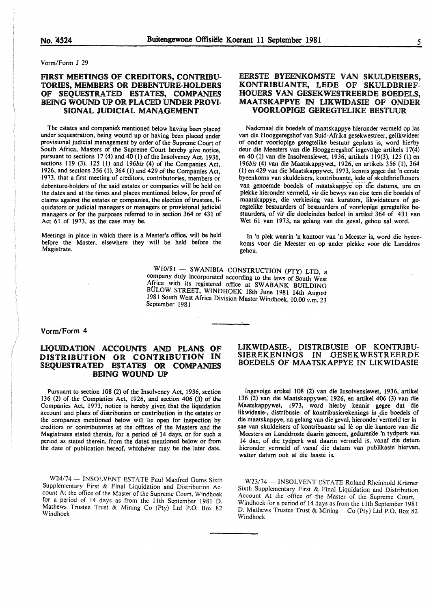#### Vorm/Form J 29

#### FIRST MEETINGS OF CREDITORS, CONTRIBU-TORIES, MEMBERS OR DEBENTURE-HOLDERS OF SEQUESTRATED ESTATES, COMPANIES BEING WOUND UP OR PLACED UNDER PROVI-SIONAL JUDICIAL MANAGEMENT

The estates and companies mentioned below having been placed under sequestration, being wound up or having been placed under provisional judicial management by order of the Supreme Court of South Africa, Masters of the Supreme Court hereby give notice, pursuant to sections 17 (4) and 40 (I) of the Insolvency Act, 1936, sections 119 (3), 125 (l) and *196bis* (4) of the Companies Act, 1926, and sections 356 (1), 364 (l) and 429 of the Companies Act, 1973, that a first meeting of creditors, contributories, members or debenture-holders of the said estates or companies will be held on the dates and at the times and places mentioned below, for proof of claims against the estates or companies, the election of trustees, liquidators or judicial managers or managers or provisional judicial managers or for the purposes referred to in section 364 or 431 of Act 61 of 1973, as the case may be.

Meetings in place in which there is a Master's office, will be held before the Master, elsewhere they will be held before the Magistrate.

#### EERSTE BYEENKOMSTE VAN SKULDEISERS, KONTRIBUANTE, LEDE OF SKULDBRIEF-HOUERS VAN GESEKWESTREERDE BOEDELS, MAATSKAPPYE IN UKWIDASIE OF ONDER VOORLOPIGE GEREGTELIKE BESTUUR

Nademaal die boedels of maatskappye hieronder vermeld op las van die Hooggeregshof van Suid-Afrika gesekwestreer, gelikwideer of onder voorlopige geregtelike bestuur geplaas is, word hierby deur die Meesters van die Hooggeregshof ingevolge artikels 17(4) en 40 (I) van die Insolvensiewet, 1936, artikels 119(3), 125 (1) en *196bis* (4) van die Maatskappywet, 1926, en artikels 356 (I), 364 (l) en 429 van die Maatskappywet, 1973, kennis gegee dat 'n eerste byeenkoms van skuldeisers, kontribuante, Iede of skuldbriefhouers van genoemde boedels of maatskappye op die datums, ure en plekke hieronder vermeld, vir die bewys van eise teen die boedels of maatskappye, die verkiesing van kurators, likwidateurs of geregtelike bestuurders of bestuurders of voorlopige geregtelike bestuurders, of vir die doeleindes bedoel in artikel 364 of 431 van Wet 61 van 1973, na gelang van die geval, gehou sal word.

In 'n plek waarin 'n kantoor van 'n Meester is, word die byeenkoms voor die Meester en op ander plekke voor die Landdros gehou.

 $W10/81 - SWANIBIA CONSTRUCTION (PTY) LTD, a$ company duly incorporated according to the laws of South West Africa with its registered office at SW ABANK BUILDING BULOW STREET, WINDHOEK 18th June 1981 14th August 1981 South West Africa Division Master Windhoek, 10.00 v.m. 23 September 1981

#### Vorrn/Form 4

#### LIQUIDATION ACCOUNTS AND PLANS. OF DISTRIBUTION OR CONTRIBUTION IN SEQUESTRATED ESTATES OR COMPANIES BEING WOUND UP

Pursuant to section 108 (2) of the Insolvency Act, 1936, section 136 (2) of the Companies Act, 1926, and section 406 (3) of the Companies Act, 1973, notice is hereby given that the liquidation account and plans of distribution or contribution in the estates or the companies mentioned below will lie open for inspection by creditors or contributories at the offices of the Masters and the Magistrates stated therein, for a period of 14 days, or for such a period as stated therein, from the dates mentioned below or from the date of publication hereof, whichever may be the later date.

W24/74 - INSOLVENT ESTATE Paul Manfred Gums Sixth Supplementary First & Final Liquidation and Distribution Account At the office of the Master of the Supreme Court, Windhoek for a period of 14 days as from the lith September 1981 D. Mathews Trustee Trust & Mining Co (Pty) Ltd P.O. Box 82 Windhoek

#### LIKWIDASIE~, DISTRIBUSIE OF KONTRIBU-**GESEKWESTREERDE** BOEDELS OF MAATSKAPPYE IN LIKWIDASIE

Ingevolge artikel 108 (2) van die Insolvensiewet, 1936, artikel 136 (2) van die Maatskappywet; 1926, en artikel 406 (3) van die Maatskappywet, 1973, word hierby kennis gegee dat die likwidasie-, distribusie- of kontribusierekenings in die boedels of die maatskappye, na gelang van die geval, hieronder vermeld ter in-.sae van skuldeisers of kontribuante sal Ie op die kantore van die Meesters en Landdroste daarin genoem, gedurende 'n tydperk van 14 dae, of die tydperk wat daarin vermeld is, vanaf die datum hieronder vermeld of vanaf die datum van publikasie hiervan, watter datum ook al die laaste is.

W23/74 - INSOLVENT ESTATE Roland Rheinhold Krämer Sixth Supplementary First & Final Liquidation and Distribution Account At the office of the Master of the Supreme Court, Windhoek for a period of 14 days as from the 11th September 1981 D. Mathews Trustee Trust & Mining Co (Pty) Ltd P.O. Box 82 Windhoek